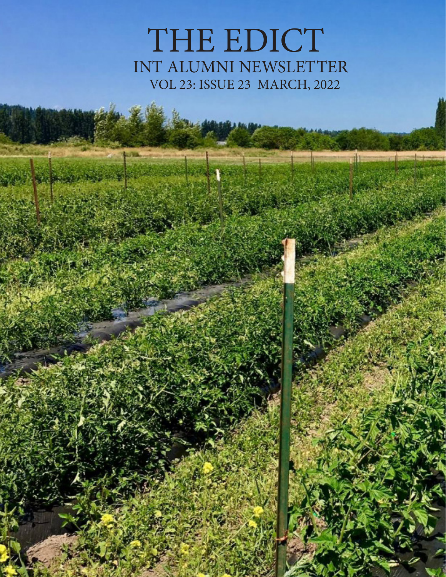# THE EDICT INT ALUMNI NEWSLETTER VOL 23: ISSUE 23 MARCH, 2022

त्ती।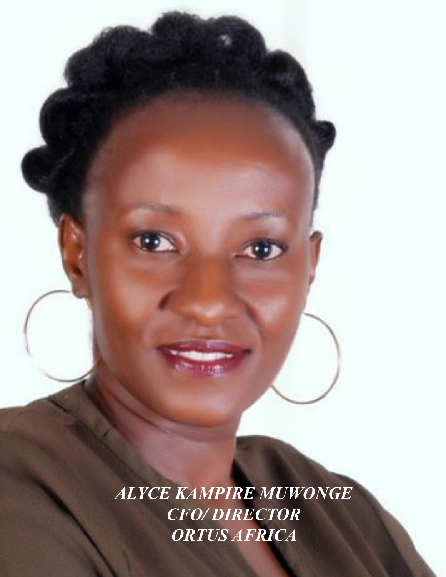*ALYCE KAMPIRE MUWONGE CFO/ DIRECTOR ORTUS AFRICA*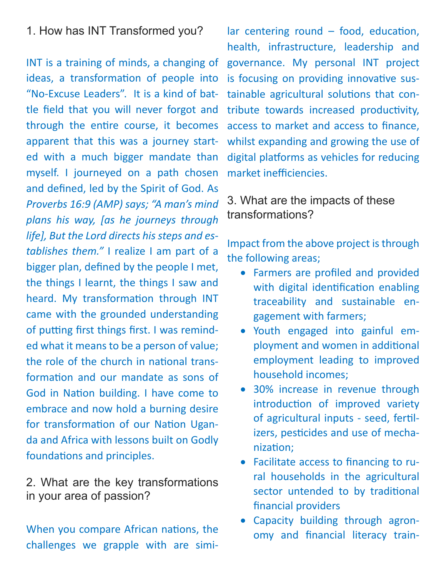# 1. How has INT Transformed you?

INT is a training of minds, a changing of ideas, a transformation of people into "No-Excuse Leaders". It is a kind of battle field that you will never forgot and through the entire course, it becomes apparent that this was a journey started with a much bigger mandate than myself. I journeyed on a path chosen and defined, led by the Spirit of God. As *Proverbs 16:9 (AMP) says; "A man's mind plans his way, [as he journeys through life], But the Lord directs his steps and establishes them."* I realize I am part of a bigger plan, defined by the people I met, the things I learnt, the things I saw and heard. My transformation through INT came with the grounded understanding of putting first things first. I was reminded what it means to be a person of value; the role of the church in national transformation and our mandate as sons of God in Nation building. I have come to embrace and now hold a burning desire for transformation of our Nation Uganda and Africa with lessons built on Godly foundations and principles.

2. What are the key transformations in your area of passion?

When you compare African nations, the challenges we grapple with are simi-

lar centering round – food, education, health, infrastructure, leadership and governance. My personal INT project is focusing on providing innovative sustainable agricultural solutions that contribute towards increased productivity, access to market and access to finance, whilst expanding and growing the use of digital platforms as vehicles for reducing market inefficiencies.

# 3. What are the impacts of these transformations?

Impact from the above project is through the following areas;

- Farmers are profiled and provided with digital identification enabling traceability and sustainable engagement with farmers;
- • Youth engaged into gainful employment and women in additional employment leading to improved household incomes;
- 30% increase in revenue through introduction of improved variety of agricultural inputs - seed, fertilizers, pesticides and use of mechanization;
- • Facilitate access to financing to rural households in the agricultural sector untended to by traditional financial providers
- Capacity building through agronomy and financial literacy train-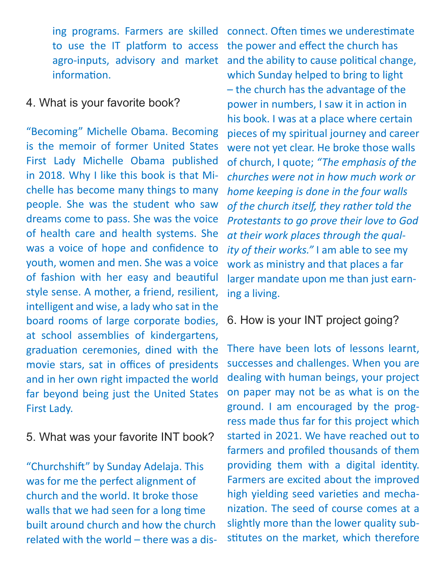ing programs. Farmers are skilled to use the IT platform to access agro-inputs, advisory and market information.

#### 4. What is your favorite book?

"Becoming" Michelle Obama. Becoming is the memoir of former United States First Lady Michelle Obama published in 2018. Why I like this book is that Michelle has become many things to many people. She was the student who saw dreams come to pass. She was the voice of health care and health systems. She was a voice of hope and confidence to youth, women and men. She was a voice of fashion with her easy and beautiful style sense. A mother, a friend, resilient, intelligent and wise, a lady who sat in the board rooms of large corporate bodies, at school assemblies of kindergartens, graduation ceremonies, dined with the movie stars, sat in offices of presidents and in her own right impacted the world far beyond being just the United States First Lady.

## 5. What was your favorite INT book?

"Churchshift" by Sunday Adelaja. This was for me the perfect alignment of church and the world. It broke those walls that we had seen for a long time built around church and how the church related with the world – there was a disconnect. Often times we underestimate the power and effect the church has and the ability to cause political change, which Sunday helped to bring to light – the church has the advantage of the power in numbers, I saw it in action in his book. I was at a place where certain pieces of my spiritual journey and career were not yet clear. He broke those walls of church, I quote; *"The emphasis of the churches were not in how much work or home keeping is done in the four walls of the church itself, they rather told the Protestants to go prove their love to God at their work places through the quality of their works."* I am able to see my work as ministry and that places a far larger mandate upon me than just earning a living.

## 6. How is your INT project going?

There have been lots of lessons learnt, successes and challenges. When you are dealing with human beings, your project on paper may not be as what is on the ground. I am encouraged by the progress made thus far for this project which started in 2021. We have reached out to farmers and profiled thousands of them providing them with a digital identity. Farmers are excited about the improved high yielding seed varieties and mechanization. The seed of course comes at a slightly more than the lower quality substitutes on the market, which therefore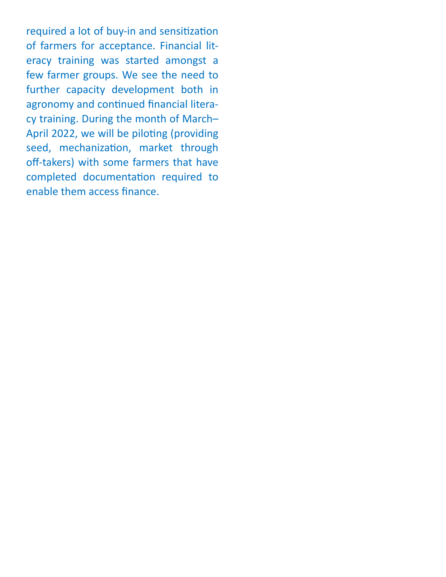required a lot of buy-in and sensitization of farmers for acceptance. Financial literacy training was started amongst a few farmer groups. We see the need to further capacity development both in agronomy and continued financial literacy training. During the month of March– April 2022, we will be piloting (providing seed, mechanization, market through off-takers) with some farmers that have completed documentation required to enable them access finance.